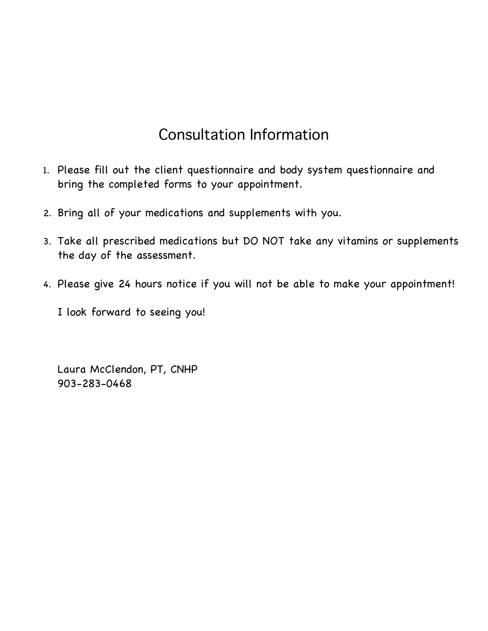# Consultation Information

- 1. Please fill out the client questionnaire and body system questionnaire and bring the completed forms to your appointment.
- 2. Bring all of your medications and supplements with you.
- 3. Take all prescribed medications but DO NOT take any vitamins or supplements the day of the assessment.
- 4. Please give 24 hours notice if you will not be able to make your appointment!
	- I look forward to seeing you!

Laura McClendon, PT, CNHP 903-283-0468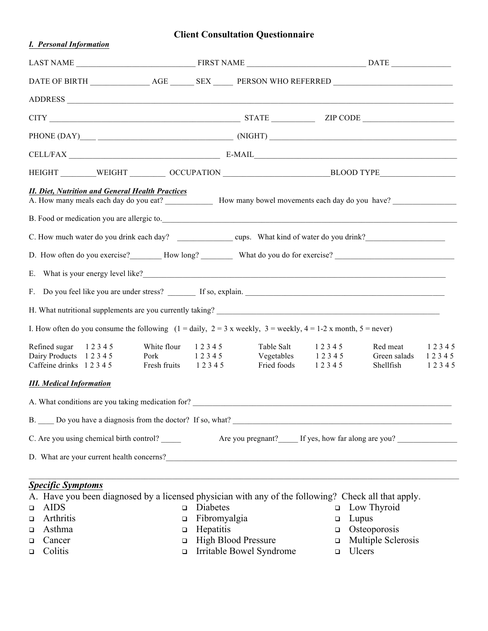### **Client Consultation Questionnaire**

| <b>I.</b> Personal Information                                                                                                                                                                                                        |                                                                                                     |                                                  |                  |                                       |                         |  |  |  |
|---------------------------------------------------------------------------------------------------------------------------------------------------------------------------------------------------------------------------------------|-----------------------------------------------------------------------------------------------------|--------------------------------------------------|------------------|---------------------------------------|-------------------------|--|--|--|
|                                                                                                                                                                                                                                       |                                                                                                     |                                                  |                  |                                       |                         |  |  |  |
| DATE OF BIRTH _____________________AGE __________ SEX ________ PERSON WHO REFERRED ___________________________                                                                                                                        |                                                                                                     |                                                  |                  |                                       |                         |  |  |  |
|                                                                                                                                                                                                                                       |                                                                                                     |                                                  |                  |                                       |                         |  |  |  |
| $CITY$ $ZIP\ CODE$ $ZIP\ CODE$                                                                                                                                                                                                        |                                                                                                     |                                                  |                  |                                       |                         |  |  |  |
|                                                                                                                                                                                                                                       |                                                                                                     |                                                  |                  |                                       |                         |  |  |  |
| CELL/FAX E-MAIL E-MAIL                                                                                                                                                                                                                |                                                                                                     |                                                  |                  |                                       |                         |  |  |  |
|                                                                                                                                                                                                                                       | HEIGHT ________WEIGHT __________ OCCUPATION ____________________________BLOOD TYPE_________________ |                                                  |                  |                                       |                         |  |  |  |
| <b>II. Diet, Nutrition and General Health Practices</b><br>A. How many meals each day do you eat? How many bowel movements each day do you have?<br>B. Food or medication you are allergic to.                                        |                                                                                                     |                                                  |                  |                                       |                         |  |  |  |
|                                                                                                                                                                                                                                       |                                                                                                     |                                                  |                  |                                       |                         |  |  |  |
| D. How often do you exercise? How long? What do you do for exercise? Next extends the system of the system of the system of the system of the system of the system of the system of the system of the system of the system of         |                                                                                                     |                                                  |                  |                                       |                         |  |  |  |
| E. What is your energy level like?<br><u>E.</u> What is your energy level like?                                                                                                                                                       |                                                                                                     |                                                  |                  |                                       |                         |  |  |  |
|                                                                                                                                                                                                                                       |                                                                                                     |                                                  |                  |                                       |                         |  |  |  |
|                                                                                                                                                                                                                                       |                                                                                                     |                                                  |                  |                                       |                         |  |  |  |
|                                                                                                                                                                                                                                       |                                                                                                     |                                                  |                  |                                       |                         |  |  |  |
| I. How often do you consume the following $(1 = \text{daily}, 2 = 3 \times \text{weekly}, 3 = \text{weekly}, 4 = 1-2 \times \text{month}, 5 = \text{never})$                                                                          |                                                                                                     |                                                  |                  |                                       |                         |  |  |  |
| White flour<br>Refined sugar 12345<br>Dairy Products 12345<br>Pork<br>Caffeine drinks 12345                                                                                                                                           | 12345<br>1 2 3 4 5<br>Fresh fruits 12345                                                            | Table Salt<br>Vegetables 12345<br>Fried foods    | 12345<br>12345   | Red meat<br>Green salads<br>Shellfish | 12345<br>12345<br>12345 |  |  |  |
| <b>III.</b> Medical Information                                                                                                                                                                                                       |                                                                                                     |                                                  |                  |                                       |                         |  |  |  |
|                                                                                                                                                                                                                                       |                                                                                                     |                                                  |                  |                                       |                         |  |  |  |
|                                                                                                                                                                                                                                       |                                                                                                     |                                                  |                  |                                       |                         |  |  |  |
| C. Are you using chemical birth control?                                                                                                                                                                                              |                                                                                                     | Are you pregnant? If yes, how far along are you? |                  |                                       |                         |  |  |  |
| D. What are your current health concerns?<br><u>Letter and the concernstructure</u> of the set of the set of the set of the set of the set of the set of the set of the set of the set of the set of the set of the set of the set of |                                                                                                     |                                                  |                  |                                       |                         |  |  |  |
|                                                                                                                                                                                                                                       |                                                                                                     |                                                  |                  |                                       |                         |  |  |  |
| <b>Specific Symptoms</b>                                                                                                                                                                                                              |                                                                                                     |                                                  |                  |                                       |                         |  |  |  |
| A. Have you been diagnosed by a licensed physician with any of the following? Check all that apply.                                                                                                                                   |                                                                                                     |                                                  |                  |                                       |                         |  |  |  |
| <b>AIDS</b><br>$\Box$<br>Arthritis                                                                                                                                                                                                    | Diabetes<br>$\Box$<br>Fibromyalgia                                                                  |                                                  | $\Box$<br>Lupus  | Low Thyroid                           |                         |  |  |  |
| ❏<br>Asthma                                                                                                                                                                                                                           | $\Box$<br>Hepatitis<br>$\Box$                                                                       |                                                  | $\Box$<br>$\Box$ | Osteoporosis                          |                         |  |  |  |
| ❏<br>Cancer                                                                                                                                                                                                                           | $\Box$                                                                                              | <b>High Blood Pressure</b>                       | $\Box$           | Multiple Sclerosis                    |                         |  |  |  |
| ❏<br>Colitis<br>□                                                                                                                                                                                                                     | $\Box$                                                                                              | Irritable Bowel Syndrome                         | Ulcers<br>$\Box$ |                                       |                         |  |  |  |

- <sup>q</sup> Irritable Bowel Syndrome <sup>q</sup> Ulcers
-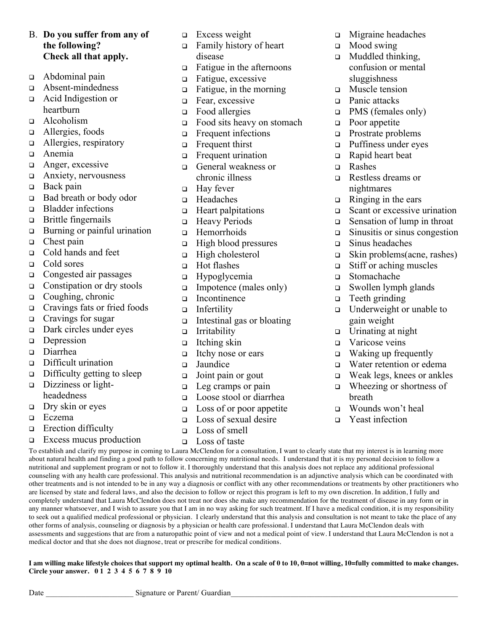#### B. **Do you suffer from any of the following? Check all that apply.**

- <sup>q</sup> Abdominal pain
- <sup>q</sup> Absent-mindedness <sup>q</sup> Acid Indigestion or heartburn
- <sup>q</sup> Alcoholism
- □ Allergies, foods
- □ Allergies, respiratory
- <sup>q</sup> Anemia
- **q** Anger, excessive
- <sup>q</sup> Anxiety, nervousness
- $\Box$  Back pain
- <sup>q</sup> Bad breath or body odor
- **q** Bladder infections
- $\Box$  Brittle fingernails
- $\Box$  Burning or painful urination
- $\Box$  Chest pain
- □ Cold hands and feet
- □ Cold sores
- □ Congested air passages
- $\Box$  Constipation or dry stools
- $Q$  Coughing, chronic
- <sup>q</sup> Cravings fats or fried foods
- <sup>q</sup> Cravings for sugar
- <sup>q</sup> Dark circles under eyes
- **p** Depression
- Diarrhea
- <sup>q</sup> Difficult urination
- $\Box$  Difficulty getting to sleep
- $\Box$  Dizziness or lightheadedness
- $\Box$  Dry skin or eyes
- **q** Eczema
- **q** Erection difficulty
- <sup>q</sup> Excess mucus production

**Circle your answer. 0 1 2 3 4 5 6 7 8 9 10**

Date Signature or Parent/ Guardian

- $\Box$  Excess weight
- <sup>q</sup> Family history of heart disease
- $\Box$  Fatigue in the afternoons
- **q** Fatigue, excessive
- $\Box$  Fatigue, in the morning
- **q** Fear, excessive
- $\Box$  Food allergies
- $\Box$  Food sits heavy on stomach
- **q** Frequent infections
- **q** Frequent thirst
- **q** Frequent urination
- <sup>q</sup> General weakness or chronic illness
- $\Box$  Hay fever
- <sup>q</sup> Headaches
- **q** Heart palpitations
- □ Heavy Periods
- **q** Hemorrhoids
- $\Box$  High blood pressures
- $\Box$  High cholesterol
- □ Hot flashes
- **q** Hypoglycemia
- □ Impotence (males only)
- Incontinence
- <sup>q</sup> Infertility
- $\Box$  Intestinal gas or bloating
- <sup>q</sup> Irritability
- $\Box$  Itching skin
- <sup>q</sup> Itchy nose or ears
- **q** Jaundice
- $\Box$  Joint pain or gout
- □ Leg cramps or pain
- □ Loose stool or diarrhea
- $\Box$  Loss of or poor appetite
- $\Box$  Loss of sexual desire
- □ Loss of smell
- <sup>q</sup> Loss of taste
- <sup>q</sup> Migraine headaches
- $\Box$  Mood swing
- <sup>q</sup> Muddled thinking, confusion or mental sluggishness
- **q** Muscle tension
- □ Panic attacks
- $\Box$  PMS (females only)
- $\Box$  Poor appetite
- p Prostrate problems
- puffiness under eyes
- <sup>q</sup> Rapid heart beat
- <sup>q</sup> Rashes
- <sup>q</sup> Restless dreams or nightmares
- $\Box$  Ringing in the ears
- $\Box$  Scant or excessive urination
- $\Box$  Sensation of lump in throat
- $\Box$  Sinusitis or sinus congestion
- $\Box$  Sinus headaches
- $\Box$  Skin problems(acne, rashes)
- $\Box$  Stiff or aching muscles
- <sup>q</sup> Stomachache
- $\Box$  Swollen lymph glands
- $\Box$  Teeth grinding
- <sup>q</sup> Underweight or unable to gain weight
- $\Box$  Urinating at night
- □ Varicose veins
- $\Box$  Waking up frequently
- □ Water retention or edema
- <sup>q</sup> Weak legs, knees or ankles
- $\Box$  Wheezing or shortness of breath
- <sup>q</sup> Wounds won't heal
- **q** Yeast infection

To establish and clarify my purpose in coming to Laura McClendon for a consultation, I want to clearly state that my interest is in learning more about natural health and finding a good path to follow concerning my nutritional needs. I understand that it is my personal decision to follow a nutritional and supplement program or not to follow it. I thoroughly understand that this analysis does not replace any additional professional counseling with any health care professional. This analysis and nutritional recommendation is an adjunctive analysis which can be coordinated with other treatments and is not intended to be in any way a diagnosis or conflict with any other recommendations or treatments by other practitioners who are licensed by state and federal laws, and also the decision to follow or reject this program is left to my own discretion. In addition, I fully and completely understand that Laura McClendon does not treat nor does she make any recommendation for the treatment of disease in any form or in any manner whatsoever, and I wish to assure you that I am in no way asking for such treatment. If I have a medical condition, it is my responsibility to seek out a qualified medical professional or physician. I clearly understand that this analysis and consultation is not meant to take the place of any other forms of analysis, counseling or diagnosis by a physician or health care professional. I understand that Laura McClendon deals with assessments and suggestions that are from a naturopathic point of view and not a medical point of view. I understand that Laura McClendon is not a medical doctor and that she does not diagnose, treat or prescribe for medical conditions.

**I am willing make lifestyle choices that support my optimal health. On a scale of 0 to 10, 0=not willing, 10=fully committed to make changes.**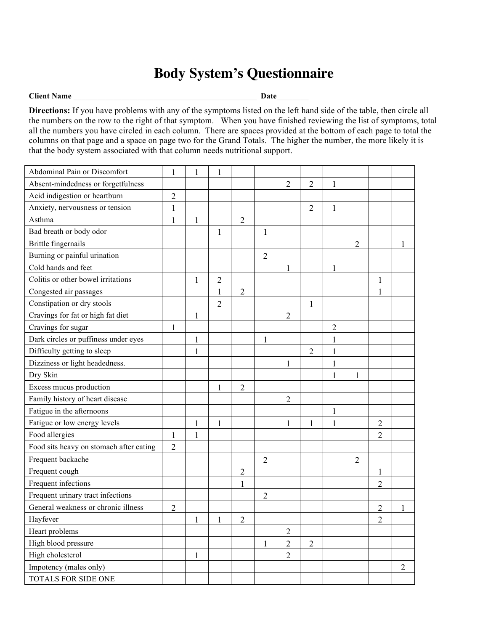## **Body System's Questionnaire**

#### **Client Name Date**

**Directions:** If you have problems with any of the symptoms listed on the left hand side of the table, then circle all the numbers on the row to the right of that symptom. When you have finished reviewing the list of symptoms, total all the numbers you have circled in each column. There are spaces provided at the bottom of each page to total the columns on that page and a space on page two for the Grand Totals. The higher the number, the more likely it is that the body system associated with that column needs nutritional support.

| Abdominal Pain or Discomfort            | $\mathbf{1}$   | 1            |                |                |                |                |                |                |                |                |                |
|-----------------------------------------|----------------|--------------|----------------|----------------|----------------|----------------|----------------|----------------|----------------|----------------|----------------|
| Absent-mindedness or forgetfulness      |                |              |                |                |                | $\overline{2}$ | $\overline{2}$ | 1              |                |                |                |
| Acid indigestion or heartburn           | $\overline{c}$ |              |                |                |                |                |                |                |                |                |                |
| Anxiety, nervousness or tension         | $\mathbf{1}$   |              |                |                |                |                | $\overline{2}$ | 1              |                |                |                |
| Asthma                                  | 1              | $\mathbf{1}$ |                | $\overline{c}$ |                |                |                |                |                |                |                |
| Bad breath or body odor                 |                |              | 1              |                | 1              |                |                |                |                |                |                |
| Brittle fingernails                     |                |              |                |                |                |                |                |                | $\overline{c}$ |                |                |
| Burning or painful urination            |                |              |                |                | $\overline{2}$ |                |                |                |                |                |                |
| Cold hands and feet                     |                |              |                |                |                | $\mathbf{1}$   |                | 1              |                |                |                |
| Colitis or other bowel irritations      |                | 1            | $\overline{2}$ |                |                |                |                |                |                |                |                |
| Congested air passages                  |                |              | $\mathbf{1}$   | $\overline{2}$ |                |                |                |                |                |                |                |
| Constipation or dry stools              |                |              | $\overline{2}$ |                |                |                | 1              |                |                |                |                |
| Cravings for fat or high fat diet       |                | 1            |                |                |                | $\overline{c}$ |                |                |                |                |                |
| Cravings for sugar                      | $\mathbf{1}$   |              |                |                |                |                |                | $\overline{2}$ |                |                |                |
| Dark circles or puffiness under eyes    |                | 1            |                |                | 1              |                |                | $\mathbf{1}$   |                |                |                |
| Difficulty getting to sleep             |                | 1            |                |                |                |                | $\overline{2}$ | $\mathbf{1}$   |                |                |                |
| Dizziness or light headedness.          |                |              |                |                |                | $\mathbf{1}$   |                | $\mathbf{1}$   |                |                |                |
| Dry Skin                                |                |              |                |                |                |                |                | 1              | 1              |                |                |
| Excess mucus production                 |                |              | 1              | $\overline{2}$ |                |                |                |                |                |                |                |
| Family history of heart disease         |                |              |                |                |                | $\overline{2}$ |                |                |                |                |                |
| Fatigue in the afternoons               |                |              |                |                |                |                |                | $\mathbf{1}$   |                |                |                |
| Fatigue or low energy levels            |                | 1            | 1              |                |                | $\mathbf{1}$   | 1              | 1              |                | $\overline{c}$ |                |
| Food allergies                          | 1              | 1            |                |                |                |                |                |                |                | $\overline{2}$ |                |
| Food sits heavy on stomach after eating | $\overline{2}$ |              |                |                |                |                |                |                |                |                |                |
| Frequent backache                       |                |              |                |                | $\overline{2}$ |                |                |                | $\overline{2}$ |                |                |
| Frequent cough                          |                |              |                | $\overline{c}$ |                |                |                |                |                | 1              |                |
| Frequent infections                     |                |              |                | $\mathbf{1}$   |                |                |                |                |                | $\overline{2}$ |                |
| Frequent urinary tract infections       |                |              |                |                | $\overline{2}$ |                |                |                |                |                |                |
| General weakness or chronic illness     | $\overline{2}$ |              |                |                |                |                |                |                |                | $\overline{c}$ | 1              |
| Hayfever                                |                |              |                | $\overline{c}$ |                |                |                |                |                | $\overline{c}$ |                |
| Heart problems                          |                |              |                |                |                | $\overline{2}$ |                |                |                |                |                |
| High blood pressure                     |                |              |                |                | $\mathbf{1}$   | $\overline{2}$ | $\overline{2}$ |                |                |                |                |
| High cholesterol                        |                | $\mathbf{1}$ |                |                |                | $\overline{2}$ |                |                |                |                |                |
| Impotency (males only)                  |                |              |                |                |                |                |                |                |                |                | $\overline{2}$ |
| TOTALS FOR SIDE ONE                     |                |              |                |                |                |                |                |                |                |                |                |